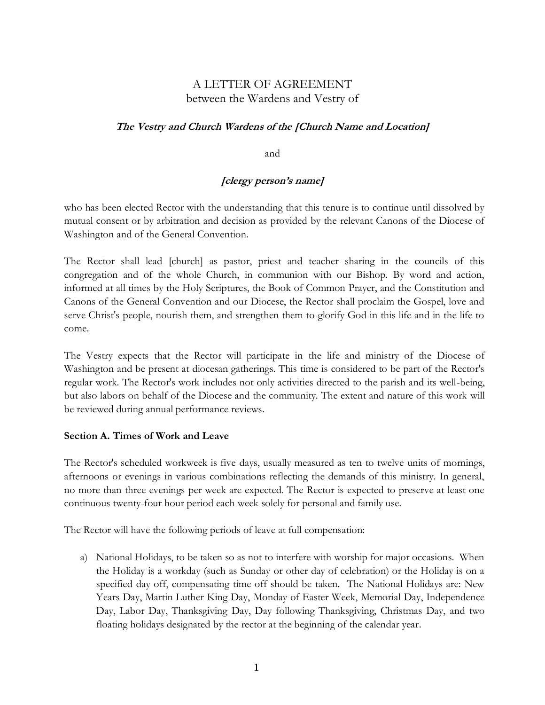# A LETTER OF AGREEMENT between the Wardens and Vestry of

# **The Vestry and Church Wardens of the [Church Name and Location]**

and

# **[clergy person's name]**

 who has been elected Rector with the understanding that this tenure is to continue until dissolved by mutual consent or by arbitration and decision as provided by the relevant Canons of the Diocese of Washington and of the General Convention.

The Rector shall lead [church] as pastor, priest and teacher sharing in the councils of this congregation and of the whole Church, in communion with our Bishop. By word and action, informed at all times by the Holy Scriptures, the Book of Common Prayer, and the Constitution and Canons of the General Convention and our Diocese, the Rector shall proclaim the Gospel, love and serve Christ's people, nourish them, and strengthen them to glorify God in this life and in the life to come.

The Vestry expects that the Rector will participate in the life and ministry of the Diocese of Washington and be present at diocesan gatherings. This time is considered to be part of the Rector's regular work. The Rector's work includes not only activities directed to the parish and its well-being, but also labors on behalf of the Diocese and the community. The extent and nature of this work will be reviewed during annual performance reviews.

#### **Section A. Times of Work and Leave**

The Rector's scheduled workweek is five days, usually measured as ten to twelve units of mornings, afternoons or evenings in various combinations reflecting the demands of this ministry. In general, no more than three evenings per week are expected. The Rector is expected to preserve at least one continuous twenty-four hour period each week solely for personal and family use.

The Rector will have the following periods of leave at full compensation:

a) National Holidays, to be taken so as not to interfere with worship for major occasions. When the Holiday is a workday (such as Sunday or other day of celebration) or the Holiday is on a specified day off, compensating time off should be taken. The National Holidays are: New Years Day, Martin Luther King Day, Monday of Easter Week, Memorial Day, Independence Day, Labor Day, Thanksgiving Day, Day following Thanksgiving, Christmas Day, and two floating holidays designated by the rector at the beginning of the calendar year.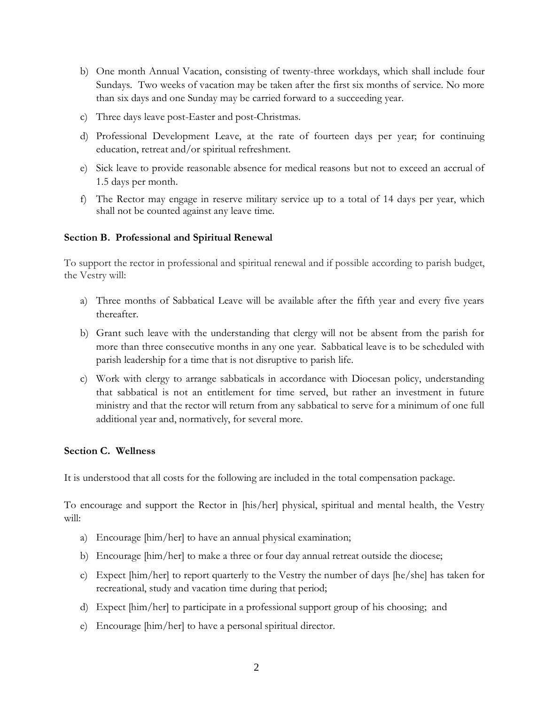- b) One month Annual Vacation, consisting of twenty-three workdays, which shall include four Sundays. Two weeks of vacation may be taken after the first six months of service. No more than six days and one Sunday may be carried forward to a succeeding year.
- c) Three days leave post-Easter and post-Christmas.
- d) Professional Development Leave, at the rate of fourteen days per year; for continuing education, retreat and/or spiritual refreshment.
- e) Sick leave to provide reasonable absence for medical reasons but not to exceed an accrual of 1.5 days per month.
- f) The Rector may engage in reserve military service up to a total of 14 days per year, which shall not be counted against any leave time.

#### **Section B. Professional and Spiritual Renewal**

To support the rector in professional and spiritual renewal and if possible according to parish budget, the Vestry will:

- a) Three months of Sabbatical Leave will be available after the fifth year and every five years thereafter.
- b) Grant such leave with the understanding that clergy will not be absent from the parish for more than three consecutive months in any one year. Sabbatical leave is to be scheduled with parish leadership for a time that is not disruptive to parish life.
- c) Work with clergy to arrange sabbaticals in accordance with Diocesan policy, understanding that sabbatical is not an entitlement for time served, but rather an investment in future ministry and that the rector will return from any sabbatical to serve for a minimum of one full additional year and, normatively, for several more.

#### **Section C. Wellness**

It is understood that all costs for the following are included in the total compensation package.

To encourage and support the Rector in [his/her] physical, spiritual and mental health, the Vestry will:

- a) Encourage [him/her] to have an annual physical examination;
- b) Encourage [him/her] to make a three or four day annual retreat outside the diocese;
- c) Expect [him/her] to report quarterly to the Vestry the number of days [he/she] has taken for recreational, study and vacation time during that period;
- d) Expect [him/her] to participate in a professional support group of his choosing; and
- e) Encourage [him/her] to have a personal spiritual director.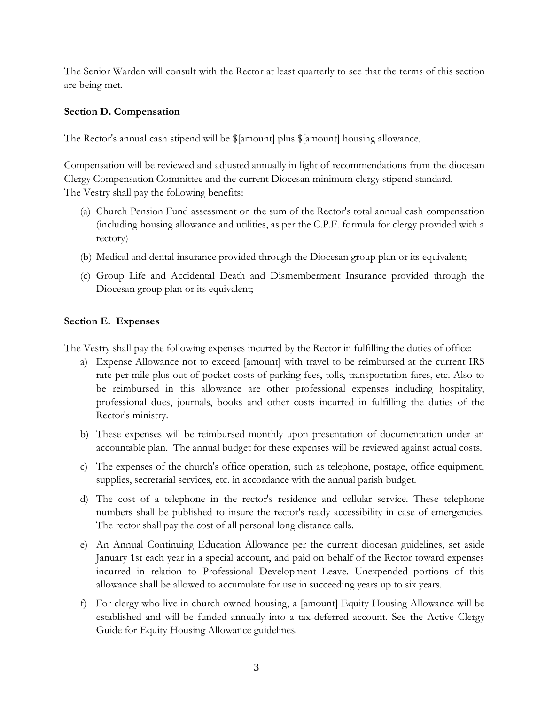The Senior Warden will consult with the Rector at least quarterly to see that the terms of this section are being met.

### **Section D. Compensation**

The Rector's annual cash stipend will be \$[amount] plus \$[amount] housing allowance,

Compensation will be reviewed and adjusted annually in light of recommendations from the diocesan Clergy Compensation Committee and the current Diocesan minimum clergy stipend standard. The Vestry shall pay the following benefits:

- (a) Church Pension Fund assessment on the sum of the Rector's total annual cash compensation (including housing allowance and utilities, as per the C.P.F. formula for clergy provided with a rectory)
- (b) Medical and dental insurance provided through the Diocesan group plan or its equivalent;
- (c) Group Life and Accidental Death and Dismemberment Insurance provided through the Diocesan group plan or its equivalent;

## **Section E. Expenses**

The Vestry shall pay the following expenses incurred by the Rector in fulfilling the duties of office:

- a) Expense Allowance not to exceed [amount] with travel to be reimbursed at the current IRS rate per mile plus out-of-pocket costs of parking fees, tolls, transportation fares, etc. Also to be reimbursed in this allowance are other professional expenses including hospitality, professional dues, journals, books and other costs incurred in fulfilling the duties of the Rector's ministry.
- b) These expenses will be reimbursed monthly upon presentation of documentation under an accountable plan. The annual budget for these expenses will be reviewed against actual costs.
- c) The expenses of the church's office operation, such as telephone, postage, office equipment, supplies, secretarial services, etc. in accordance with the annual parish budget.
- d) The cost of a telephone in the rector's residence and cellular service. These telephone numbers shall be published to insure the rector's ready accessibility in case of emergencies. The rector shall pay the cost of all personal long distance calls.
- e) An Annual Continuing Education Allowance per the current diocesan guidelines, set aside January 1st each year in a special account, and paid on behalf of the Rector toward expenses incurred in relation to Professional Development Leave. Unexpended portions of this allowance shall be allowed to accumulate for use in succeeding years up to six years.
- f) For clergy who live in church owned housing, a [amount] Equity Housing Allowance will be established and will be funded annually into a tax-deferred account. See the Active Clergy Guide for Equity Housing Allowance guidelines.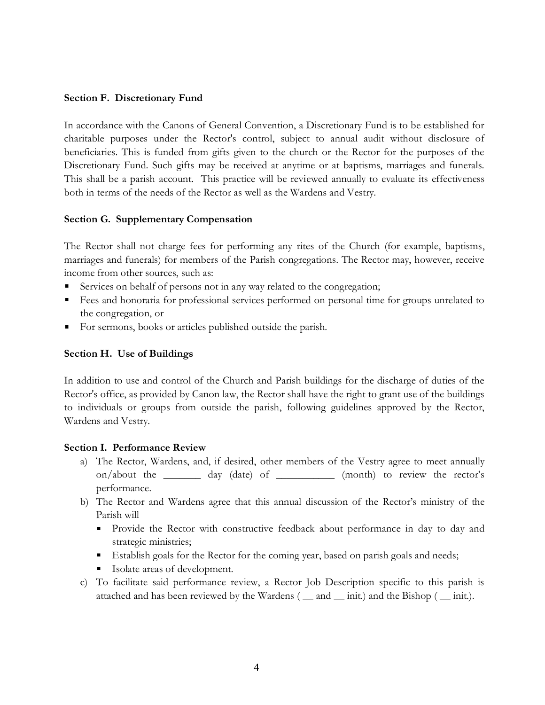#### **Section F. Discretionary Fund**

In accordance with the Canons of General Convention, a Discretionary Fund is to be established for charitable purposes under the Rector's control, subject to annual audit without disclosure of beneficiaries. This is funded from gifts given to the church or the Rector for the purposes of the Discretionary Fund. Such gifts may be received at anytime or at baptisms, marriages and funerals. This shall be a parish account. This practice will be reviewed annually to evaluate its effectiveness both in terms of the needs of the Rector as well as the Wardens and Vestry.

#### **Section G. Supplementary Compensation**

The Rector shall not charge fees for performing any rites of the Church (for example, baptisms, marriages and funerals) for members of the Parish congregations. The Rector may, however, receive income from other sources, such as:

- Services on behalf of persons not in any way related to the congregation;
- Fees and honoraria for professional services performed on personal time for groups unrelated to the congregation, or
- For sermons, books or articles published outside the parish.

#### **Section H. Use of Buildings**

In addition to use and control of the Church and Parish buildings for the discharge of duties of the Rector's office, as provided by Canon law, the Rector shall have the right to grant use of the buildings to individuals or groups from outside the parish, following guidelines approved by the Rector, Wardens and Vestry.

#### **Section I. Performance Review**

- a) The Rector, Wardens, and, if desired, other members of the Vestry agree to meet annually on/about the \_\_\_\_\_\_\_ day (date) of \_\_\_\_\_\_\_\_\_\_\_ (month) to review the rector's performance.
- b) The Rector and Wardens agree that this annual discussion of the Rector's ministry of the Parish will
	- Provide the Rector with constructive feedback about performance in day to day and strategic ministries;
	- Establish goals for the Rector for the coming year, based on parish goals and needs;
	- **Isolate areas of development.**
- c) To facilitate said performance review, a Rector Job Description specific to this parish is attached and has been reviewed by the Wardens ( \_\_ and \_\_ init.) and the Bishop ( \_\_ init.).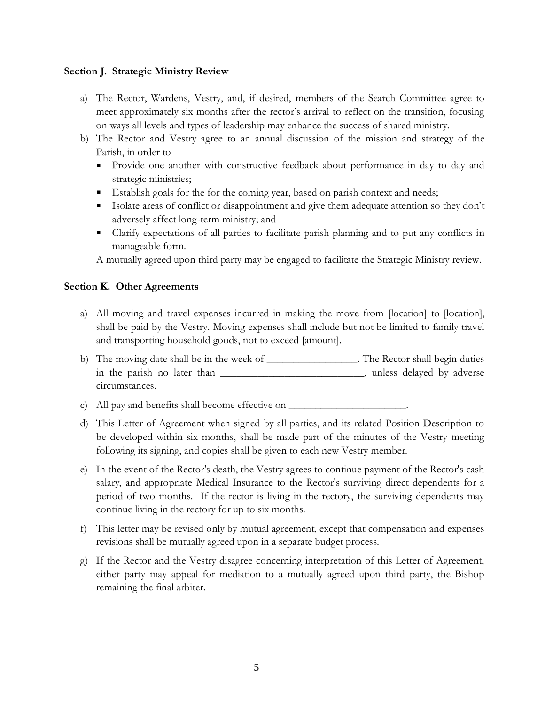#### **Section J. Strategic Ministry Review**

- a) The Rector, Wardens, Vestry, and, if desired, members of the Search Committee agree to meet approximately six months after the rector's arrival to reflect on the transition, focusing on ways all levels and types of leadership may enhance the success of shared ministry.
- b) The Rector and Vestry agree to an annual discussion of the mission and strategy of the Parish, in order to
	- Provide one another with constructive feedback about performance in day to day and strategic ministries;
	- Establish goals for the for the coming year, based on parish context and needs;
	- Isolate areas of conflict or disappointment and give them adequate attention so they don't adversely affect long-term ministry; and
	- Clarify expectations of all parties to facilitate parish planning and to put any conflicts in manageable form.

A mutually agreed upon third party may be engaged to facilitate the Strategic Ministry review.

#### **Section K. Other Agreements**

- a) All moving and travel expenses incurred in making the move from [location] to [location], shall be paid by the Vestry. Moving expenses shall include but not be limited to family travel and transporting household goods, not to exceed [amount].
- b) The moving date shall be in the week of \_\_\_\_\_\_\_\_\_\_\_\_\_\_\_. The Rector shall begin duties in the parish no later than \_\_\_\_\_\_\_\_\_\_\_\_\_\_\_\_\_\_\_\_\_\_\_\_\_\_\_\_\_, unless delayed by adverse circumstances.

c) All pay and benefits shall become effective on \_\_\_\_\_\_\_\_\_\_\_\_\_\_\_\_\_\_\_\_\_\_\_\_\_\_\_\_\_\_\_

- d) This Letter of Agreement when signed by all parties, and its related Position Description to be developed within six months, shall be made part of the minutes of the Vestry meeting following its signing, and copies shall be given to each new Vestry member.
- e) In the event of the Rector's death, the Vestry agrees to continue payment of the Rector's cash salary, and appropriate Medical Insurance to the Rector's surviving direct dependents for a period of two months. If the rector is living in the rectory, the surviving dependents may continue living in the rectory for up to six months.
- f) This letter may be revised only by mutual agreement, except that compensation and expenses revisions shall be mutually agreed upon in a separate budget process.
- g) If the Rector and the Vestry disagree concerning interpretation of this Letter of Agreement, either party may appeal for mediation to a mutually agreed upon third party, the Bishop remaining the final arbiter.